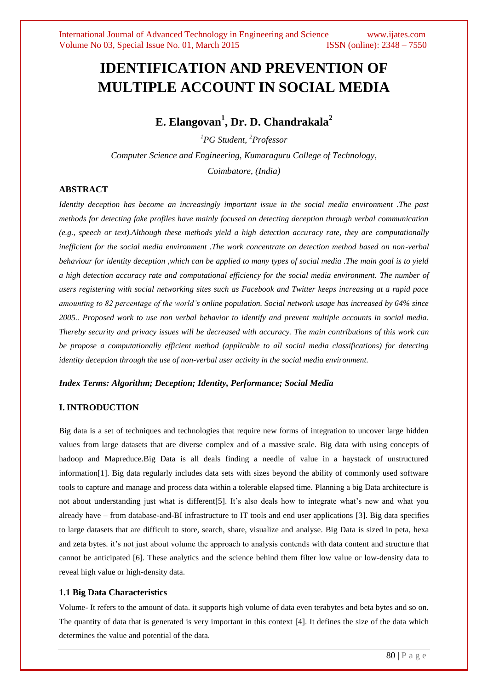# **IDENTIFICATION AND PREVENTION OF MULTIPLE ACCOUNT IN SOCIAL MEDIA**

## **E. Elangovan<sup>1</sup> , Dr. D. Chandrakala<sup>2</sup>**

*<sup>1</sup>PG Student, <sup>2</sup>Professor Computer Science and Engineering, Kumaraguru College of Technology, Coimbatore, (India)*

## **ABSTRACT**

*Identity deception has become an increasingly important issue in the social media environment .The past methods for detecting fake profiles have mainly focused on detecting deception through verbal communication (e.g., speech or text).Although these methods yield a high detection accuracy rate, they are computationally inefficient for the social media environment .The work concentrate on detection method based on non-verbal behaviour for identity deception ,which can be applied to many types of social media .The main goal is to yield a high detection accuracy rate and computational efficiency for the social media environment. The number of users registering with social networking sites such as Facebook and Twitter keeps increasing at a rapid pace amounting to 82 percentage of the world's online population. Social network usage has increased by 64% since 2005.. Proposed work to use non verbal behavior to identify and prevent multiple accounts in social media. Thereby security and privacy issues will be decreased with accuracy. The main contributions of this work can be propose a computationally efficient method (applicable to all social media classifications) for detecting identity deception through the use of non-verbal user activity in the social media environment.* 

#### *Index Terms: Algorithm; Deception; Identity, Performance; Social Media*

## **I. INTRODUCTION**

Big data is a set of techniques and technologies that require new forms of integration to uncover large hidden values from large datasets that are diverse complex and of a massive scale. Big data with using concepts of hadoop and Mapreduce.Big Data is all deals finding a needle of value in a haystack of unstructured information[1]. Big data regularly includes data sets with sizes beyond the ability of commonly used software tools to capture and manage and process data within a tolerable elapsed time. Planning a big Data architecture is not about understanding just what is different[5]. It's also deals how to integrate what's new and what you already have – from database-and-BI infrastructure to IT tools and end user applications [3]. Big data specifies to large datasets that are difficult to store, search, share, visualize and analyse. Big Data is sized in peta, hexa and zeta bytes. it's not just about volume the approach to analysis contends with data content and structure that cannot be anticipated [6]. These analytics and the science behind them filter low value or low-density data to reveal high value or high-density data.

#### **1.1 Big Data Characteristics**

Volume- It refers to the amount of data. it supports high volume of data even terabytes and beta bytes and so on. The quantity of data that is generated is very important in this context [4]. It defines the size of the data which determines the value and potential of the data.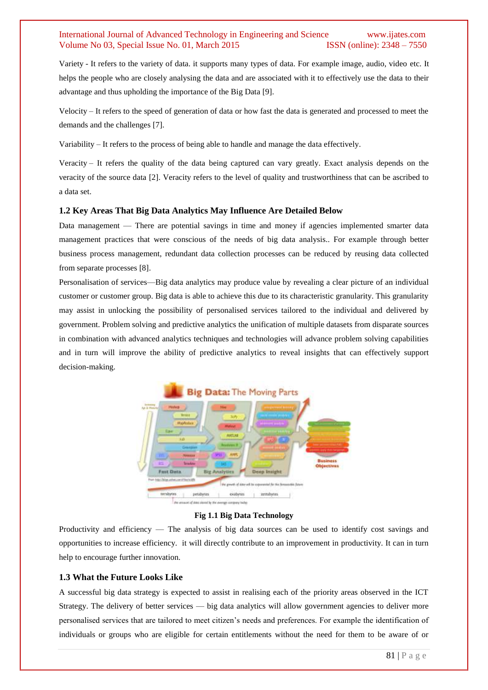Variety - It refers to the variety of data. it supports many types of data. For example image, audio, video etc. It helps the people who are closely analysing the data and are associated with it to effectively use the data to their advantage and thus upholding the importance of the Big Data [9].

Velocity – It refers to the speed of generation of data or how fast the data is generated and processed to meet the demands and the challenges [7].

Variability – It refers to the process of being able to handle and manage the data effectively.

Veracity – It refers the quality of the data being captured can vary greatly. Exact analysis depends on the veracity of the source data [2]. Veracity refers to the level of quality and trustworthiness that can be ascribed to a data set.

#### **1.2 Key Areas That Big Data Analytics May Influence Are Detailed Below**

Data management — There are potential savings in time and money if agencies implemented smarter data management practices that were conscious of the needs of big data analysis.. For example through better business process management, redundant data collection processes can be reduced by reusing data collected from separate processes [8].

Personalisation of services—Big data analytics may produce value by revealing a clear picture of an individual customer or customer group. Big data is able to achieve this due to its characteristic granularity. This granularity may assist in unlocking the possibility of personalised services tailored to the individual and delivered by government. Problem solving and predictive analytics the unification of multiple datasets from disparate sources in combination with advanced analytics techniques and technologies will advance problem solving capabilities and in turn will improve the ability of predictive analytics to reveal insights that can effectively support decision-making.



#### **Fig 1.1 Big Data Technology**

Productivity and efficiency — The analysis of big data sources can be used to identify cost savings and opportunities to increase efficiency. it will directly contribute to an improvement in productivity. It can in turn help to encourage further innovation.

#### **1.3 What the Future Looks Like**

A successful big data strategy is expected to assist in realising each of the priority areas observed in the ICT Strategy. The delivery of better services — big data analytics will allow government agencies to deliver more personalised services that are tailored to meet citizen's needs and preferences. For example the identification of individuals or groups who are eligible for certain entitlements without the need for them to be aware of or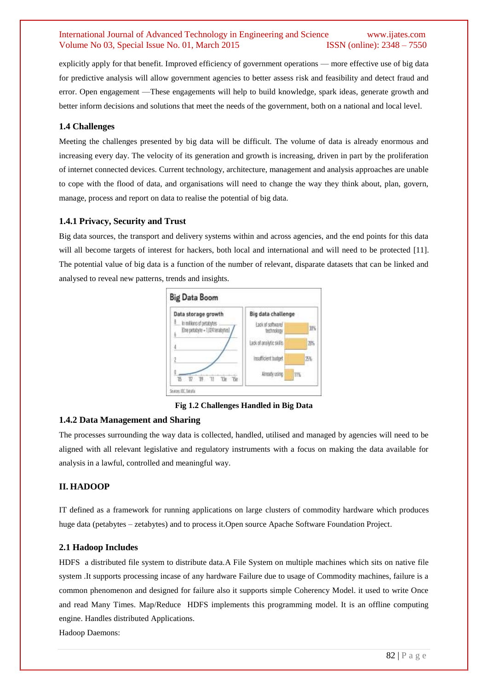explicitly apply for that benefit. Improved efficiency of government operations — more effective use of big data for predictive analysis will allow government agencies to better assess risk and feasibility and detect fraud and error. Open engagement —These engagements will help to build knowledge, spark ideas, generate growth and better inform decisions and solutions that meet the needs of the government, both on a national and local level.

#### **1.4 Challenges**

Meeting the challenges presented by big data will be difficult. The volume of data is already enormous and increasing every day. The velocity of its generation and growth is increasing, driven in part by the proliferation of internet connected devices. Current technology, architecture, management and analysis approaches are unable to cope with the flood of data, and organisations will need to change the way they think about, plan, govern, manage, process and report on data to realise the potential of big data.

#### **1.4.1 Privacy, Security and Trust**

Big data sources, the transport and delivery systems within and across agencies, and the end points for this data will all become targets of interest for hackers, both local and international and will need to be protected [11]. The potential value of big data is a function of the number of relevant, disparate datasets that can be linked and analysed to reveal new patterns, trends and insights.



**Fig 1.2 Challenges Handled in Big Data**

#### **1.4.2 Data Management and Sharing**

The processes surrounding the way data is collected, handled, utilised and managed by agencies will need to be aligned with all relevant legislative and regulatory instruments with a focus on making the data available for analysis in a lawful, controlled and meaningful way.

#### **II. HADOOP**

IT defined as a framework for running applications on large clusters of commodity hardware which produces huge data (petabytes – zetabytes) and to process it.Open source Apache Software Foundation Project.

#### **2.1 Hadoop Includes**

HDFS a distributed file system to distribute data.A File System on multiple machines which sits on native file system .It supports processing incase of any hardware Failure due to usage of Commodity machines, failure is a common phenomenon and designed for failure also it supports simple Coherency Model. it used to write Once and read Many Times. Map/Reduce HDFS implements this programming model. It is an offline computing engine. Handles distributed Applications.

Hadoop Daemons: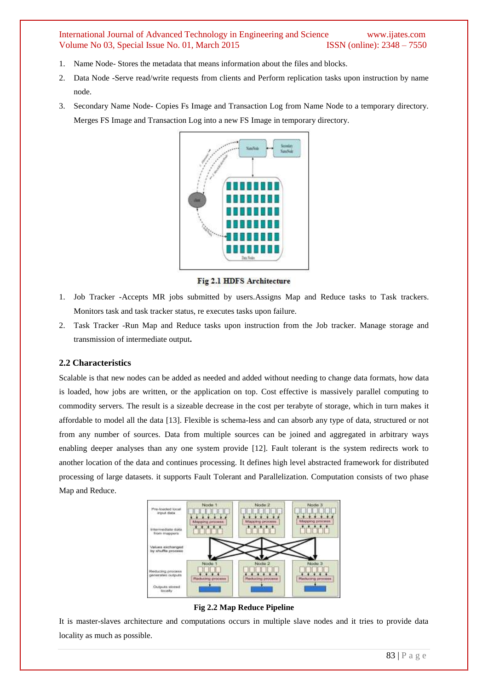- 1. Name Node- Stores the metadata that means information about the files and blocks.
- 2. Data Node -Serve read/write requests from clients and Perform replication tasks upon instruction by name node.
- 3. Secondary Name Node- Copies Fs Image and Transaction Log from Name Node to a temporary directory. Merges FS Image and Transaction Log into a new FS Image in temporary directory.



Fig 2.1 HDFS Architecture

- 1. Job Tracker -Accepts MR jobs submitted by users.Assigns Map and Reduce tasks to Task trackers. Monitors task and task tracker status, re executes tasks upon failure.
- 2. Task Tracker -Run Map and Reduce tasks upon instruction from the Job tracker. Manage storage and transmission of intermediate output**.**

#### **2.2 Characteristics**

Scalable is that new nodes can be added as needed and added without needing to change data formats, how data is loaded, how jobs are written, or the application on top. Cost effective is massively parallel computing to commodity servers. The result is a sizeable decrease in the cost per terabyte of storage, which in turn makes it affordable to model all the data [13]. Flexible is schema-less and can absorb any type of data, structured or not from any number of sources. Data from multiple sources can be joined and aggregated in arbitrary ways enabling deeper analyses than any one system provide [12]. Fault tolerant is the system redirects work to another location of the data and continues processing. It defines high level abstracted framework for distributed processing of large datasets. it supports Fault Tolerant and Parallelization. Computation consists of two phase Map and Reduce.



**Fig 2.2 Map Reduce Pipeline**

It is master-slaves architecture and computations occurs in multiple slave nodes and it tries to provide data locality as much as possible.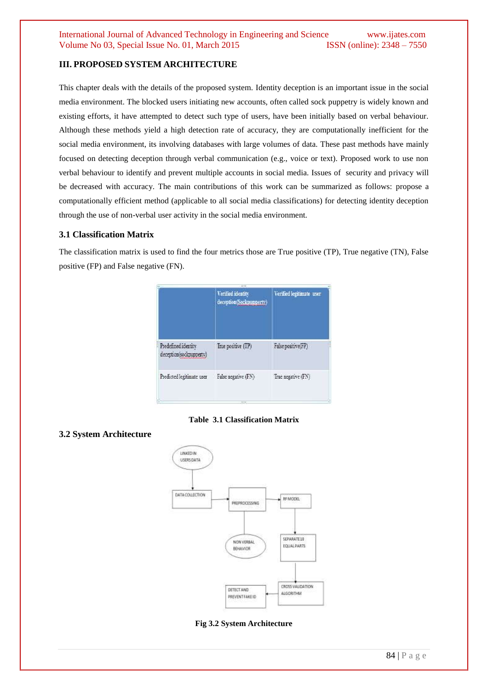## **III. PROPOSED SYSTEM ARCHITECTURE**

This chapter deals with the details of the proposed system. Identity deception is an important issue in the social media environment. The blocked users initiating new accounts, often called sock puppetry is widely known and existing efforts, it have attempted to detect such type of users, have been initially based on verbal behaviour. Although these methods yield a high detection rate of accuracy, they are computationally inefficient for the social media environment, its involving databases with large volumes of data. These past methods have mainly focused on detecting deception through verbal communication (e.g., voice or text). Proposed work to use non verbal behaviour to identify and prevent multiple accounts in social media. Issues of security and privacy will be decreased with accuracy. The main contributions of this work can be summarized as follows: propose a computationally efficient method (applicable to all social media classifications) for detecting identity deception through the use of non-verbal user activity in the social media environment.

## **3.1 Classification Matrix**

The classification matrix is used to find the four metrics those are True positive (TP), True negative (TN), False positive (FP) and False negative (FN).

| Verified identity<br>deception(Sockpupperty) | Verified legitimate user |
|----------------------------------------------|--------------------------|
| True positive (TP)                           | False positive(FP)       |
| False negative (FN)                          | True negative (FN)       |
|                                              |                          |

#### **Table 3.1 Classification Matrix**

## **3.2 System Architecture**



**Fig 3.2 System Architecture**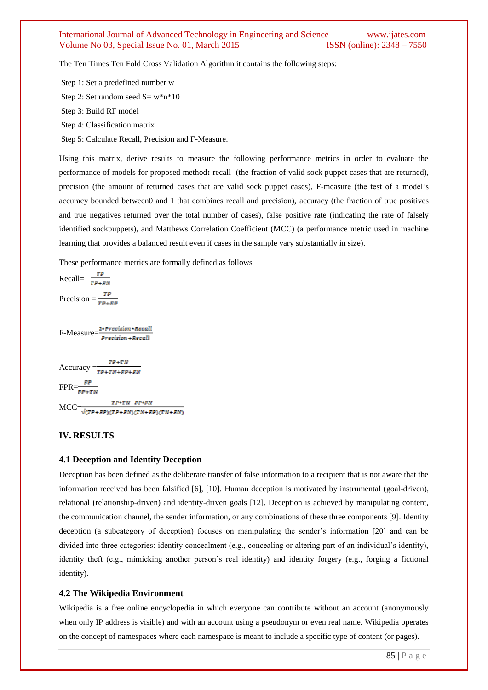The Ten Times Ten Fold Cross Validation Algorithm it contains the following steps:

Step 1: Set a predefined number w

Step 2: Set random seed  $S = w^*n^*10$ 

Step 3: Build RF model

Step 4: Classification matrix

Step 5: Calculate Recall, Precision and F-Measure.

Using this matrix, derive results to measure the following performance metrics in order to evaluate the performance of models for proposed method**:** recall(the fraction of valid sock puppet cases that are returned), precision (the amount of returned cases that are valid sock puppet cases), F-measure (the test of a model's accuracy bounded between0 and 1 that combines recall and precision), accuracy (the fraction of true positives and true negatives returned over the total number of cases), false positive rate (indicating the rate of falsely identified sockpuppets), and Matthews Correlation Coefficient (MCC) (a performance metric used in machine learning that provides a balanced result even if cases in the sample vary substantially in size).

These performance metrics are formally defined as follows

Recall=  $\frac{TP}{TP+FN}$ Precision =  $\frac{TP}{TP+FP}$ 

F-Measure= $\frac{2*Precision * Recall}{Precision + Recall}$ 

$$
Accuracy = \frac{TP + TN}{TP + TN + FP + FN}
$$
  
FPR =  $\frac{FP}{TP + TN + FP + FN}$ 

 $TP*TN-FP*FN$  $\text{MCC}=\overbrace{\frac{\sqrt{(TP+FP)(TP+FN)(TN+FP)(TN+FN)}}{T}}$ 

### **IV. RESULTS**

#### **4.1 Deception and Identity Deception**

Deception has been defined as the deliberate transfer of false information to a recipient that is not aware that the information received has been falsified [6], [10]. Human deception is motivated by instrumental (goal-driven), relational (relationship-driven) and identity-driven goals [12]. Deception is achieved by manipulating content, the communication channel, the sender information, or any combinations of these three components [9]. Identity deception (a subcategory of deception) focuses on manipulating the sender's information [20] and can be divided into three categories: identity concealment (e.g., concealing or altering part of an individual's identity), identity theft (e.g., mimicking another person's real identity) and identity forgery (e.g., forging a fictional identity).

#### **4.2 The Wikipedia Environment**

Wikipedia is a free online encyclopedia in which everyone can contribute without an account (anonymously when only IP address is visible) and with an account using a pseudonym or even real name. Wikipedia operates on the concept of namespaces where each namespace is meant to include a specific type of content (or pages).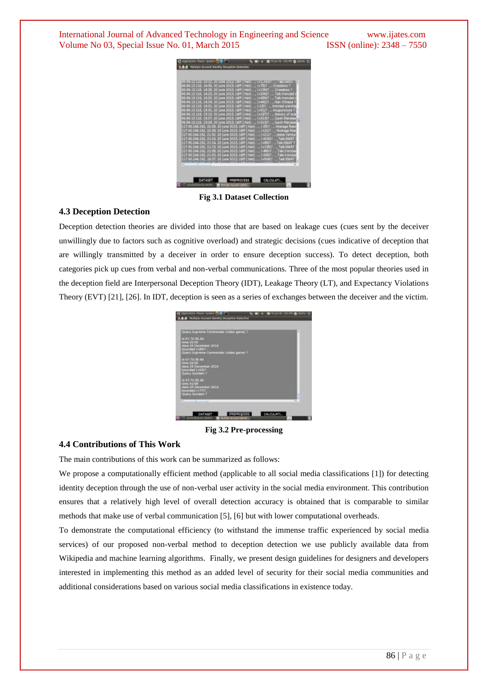

**Fig 3.1 Dataset Collection**

#### **4.3 Deception Detection**

Deception detection theories are divided into those that are based on leakage cues (cues sent by the deceiver unwillingly due to factors such as cognitive overload) and strategic decisions (cues indicative of deception that are willingly transmitted by a deceiver in order to ensure deception success). To detect deception, both categories pick up cues from verbal and non-verbal communications. Three of the most popular theories used in the deception field are Interpersonal Deception Theory (IDT), Leakage Theory (LT), and Expectancy Violations Theory (EVT) [21], [26]. In IDT, deception is seen as a series of exchanges between the deceiver and the victim.



**Fig 3.2 Pre-processing**

## **4.4 Contributions of This Work**

The main contributions of this work can be summarized as follows:

We propose a computationally efficient method (applicable to all social media classifications [1]) for detecting identity deception through the use of non-verbal user activity in the social media environment. This contribution ensures that a relatively high level of overall detection accuracy is obtained that is comparable to similar methods that make use of verbal communication [5], [6] but with lower computational overheads.

To demonstrate the computational efficiency (to withstand the immense traffic experienced by social media services) of our proposed non-verbal method to deception detection we use publicly available data from Wikipedia and machine learning algorithms. Finally, we present design guidelines for designers and developers interested in implementing this method as an added level of security for their social media communities and additional considerations based on various social media classifications in existence today.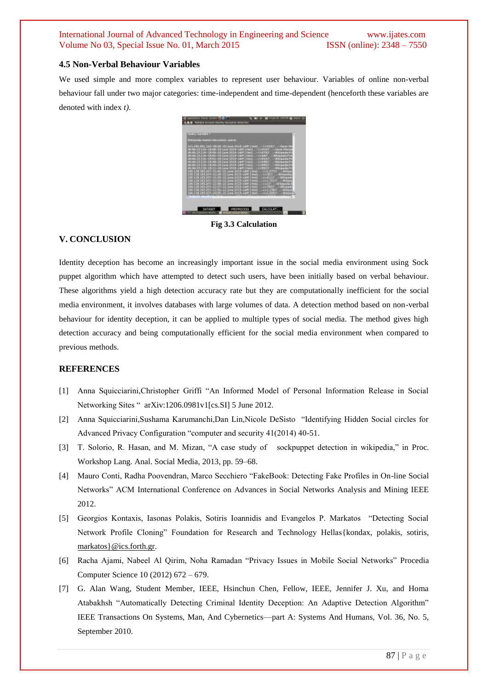### **4.5 Non-Verbal Behaviour Variables**

We used simple and more complex variables to represent user behaviour. Variables of online non-verbal behaviour fall under two major categories: time-independent and time-dependent (henceforth these variables are denoted with index *t)*.



**Fig 3.3 Calculation**

## **V. CONCLUSION**

Identity deception has become an increasingly important issue in the social media environment using Sock puppet algorithm which have attempted to detect such users, have been initially based on verbal behaviour. These algorithms yield a high detection accuracy rate but they are computationally inefficient for the social media environment, it involves databases with large volumes of data. A detection method based on non-verbal behaviour for identity deception, it can be applied to multiple types of social media. The method gives high detection accuracy and being computationally efficient for the social media environment when compared to previous methods.

## **REFERENCES**

- [1] Anna Squicciarini,Christopher Griffi "An Informed Model of Personal Information Release in Social Networking Sites " arXiv:1206.0981v1[cs.SI] 5 June 2012.
- [2] Anna Squicciarini,Sushama Karumanchi,Dan Lin,Nicole DeSisto "Identifying Hidden Social circles for Advanced Privacy Configuration "computer and security 41(2014) 40-51.
- [3] T. Solorio, R. Hasan, and M. Mizan, "A case study of sockpuppet detection in wikipedia," in Proc. Workshop Lang. Anal. Social Media, 2013, pp. 59–68.
- [4] Mauro Conti, Radha Poovendran, Marco Secchiero "FakeBook: Detecting Fake Profiles in On-line Social Networks" ACM International Conference on Advances in Social Networks Analysis and Mining IEEE 2012.
- [5] Georgios Kontaxis, Iasonas Polakis, Sotiris Ioannidis and Evangelos P. Markatos "Detecting Social Network Profile Cloning" Foundation for Research and Technology Hellas [kondax, polakis, sotiris, [markatos}@ics.forth.gr.](mailto:markatos%7D@ics.forth.gr)
- [6] Racha Ajami, Nabeel Al Qirim, Noha Ramadan "Privacy Issues in Mobile Social Networks" Procedia Computer Science 10 (2012) 672 – 679.
- [7] G. Alan Wang, Student Member, IEEE, Hsinchun Chen, Fellow, IEEE, Jennifer J. Xu, and Homa Atabakhsh "Automatically Detecting Criminal Identity Deception: An Adaptive Detection Algorithm" IEEE Transactions On Systems, Man, And Cybernetics—part A: Systems And Humans, Vol. 36, No. 5, September 2010.